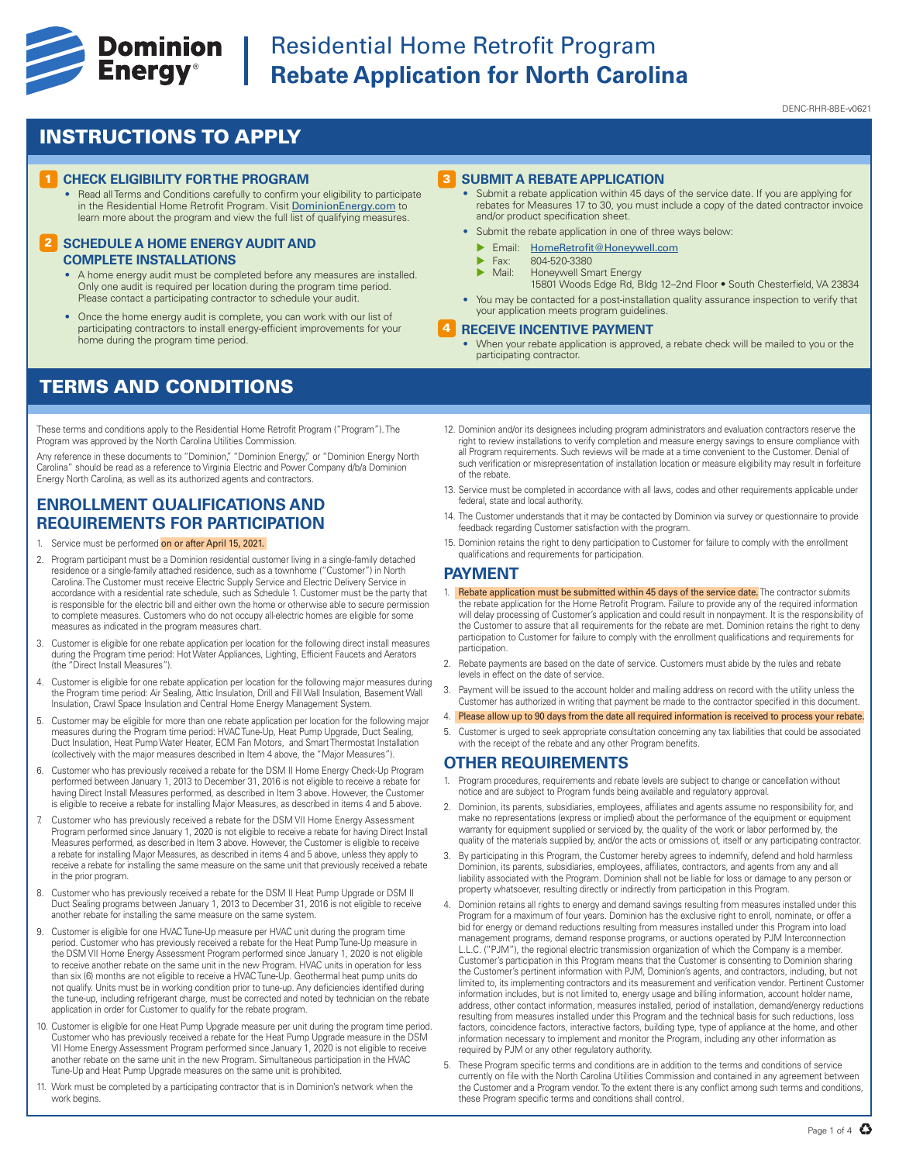

# **Experience Cominion** Residential Home Retrofit Program<br> **Energy**<sup>®</sup> Rebate Application for North Caroli **Rebate Application for North Carolina**

#### DENC-RHR-8BE-v0621

## INSTRUCTIONS TO APPLY

#### **1 CHECK ELIGIBILITY FOR THE PROGRAM**

• Read all Terms and Conditions carefully to confirm your eligibility to participate in the Residential Home Retrofit Program. Visit DominionEnergy.com to learn more about the program and view the full list of qualifying measures.

#### **2 SCHEDULE A HOME ENERGY AUDIT AND COMPLETE INSTALLATIONS**

- A home energy audit must be completed before any measures are installed. Only one audit is required per location during the program time period. Please contact a participating contractor to schedule your audit
- Once the home energy audit is complete, you can work with our list of participating contractors to install energy-efficient improvements for your home during the program time period.

### TERMS AND CONDITIONS

These terms and conditions apply to the Residential Home Retrofit Program ("Program"). The Program was approved by the North Carolina Utilities Commission.

Any reference in these documents to "Dominion," "Dominion Energy," or "Dominion Energy North Carolina" should be read as a reference to Virginia Electric and Power Company d/b/a Dominion Energy North Carolina, as well as its authorized agents and contractors.

### **ENROLLMENT QUALIFICATIONS AND REQUIREMENTS FOR PARTICIPATION**

- 1. Service must be performed on or after April 15, 2021.
- 2. Program participant must be a Dominion residential customer living in a single-family detached residence or a single-family attached residence, such as a townhome ("Customer") in North Carolina. The Customer must receive Electric Supply Service and Electric Delivery Service in accordance with a residential rate schedule, such as Schedule 1. Customer must be the party that is responsible for the electric bill and either own the home or otherwise able to secure permission to complete measures. Customers who do not occupy all-electric homes are eligible for some measures as indicated in the program measures chart.
- 3. Customer is eligible for one rebate application per location for the following direct install measures during the Program time period: Hot Water Appliances, Lighting, Efficient Faucets and Aerators (the "Direct Install Measures").
- 4. Customer is eligible for one rebate application per location for the following major measures during the Program time period: Air Sealing, Attic Insulation, Drill and Fill Wall Insulation, Basement Wall Insulation, Crawl Space Insulation and Central Home Energy Management System.
- 5. Customer may be eligible for more than one rebate application per location for the following major measures during the Program time period: HVAC Tune-Up, Heat Pump Upgrade, Duct Sealing, Duct Insulation, Heat Pump Water Heater, ECM Fan Motors, and Smart Thermostat Installation (collectively with the major measures described in Item 4 above, the "Major Measures").
- 6. Customer who has previously received a rebate for the DSM II Home Energy Check-Up Program performed between January 1, 2013 to December 31, 2016 is not eligible to receive a rebate for having Direct Install Measures performed, as described in Item 3 above. However, the Customer is eligible to receive a rebate for installing Major Measures, as described in items 4 and 5 above.
- 7. Customer who has previously received a rebate for the DSM VII Home Energy Assessment Program performed since January 1, 2020 is not eligible to receive a rebate for having Direct Install Measures performed, as described in Item 3 above. However, the Customer is eligible to receive a rebate for installing Major Measures, as described in items 4 and 5 above, unless they apply to receive a rebate for installing the same measure on the same unit that previously received a rebate in the prior program.
- 8. Customer who has previously received a rebate for the DSM II Heat Pump Upgrade or DSM II Duct Sealing programs between January 1, 2013 to December 31, 2016 is not eligible to receive another rebate for installing the same measure on the same system.
- 9. Customer is eligible for one HVAC Tune-Up measure per HVAC unit during the program time period. Customer who has previously received a rebate for the Heat Pump Tune-Up measure in the DSM VII Home Energy Assessment Program performed since January 1, 2020 is not eligible to receive another rebate on the same unit in the new Program. HVAC units in operation for less than six (6) months are not eligible to receive a HVAC Tune-Up. Geothermal heat pump units do not qualify. Units must be in working condition prior to tune-up. Any deficiencies identified during the tune-up, including refrigerant charge, must be corrected and noted by technician on the rebate application in order for Customer to qualify for the rebate program.
- 10. Customer is eligible for one Heat Pump Upgrade measure per unit during the program time period. Customer who has previously received a rebate for the Heat Pump Upgrade measure in the DSM VII Home Energy Assessment Program performed since January 1, 2020 is not eligible to receive another rebate on the same unit in the new Program. Simultaneous participation in the HVAC Tune-Up and Heat Pump Upgrade measures on the same unit is prohibited.
- 11. Work must be completed by a participating contractor that is in Dominion's network when the work begins.

#### 3 **SUBMIT A REBATE APPLICATION**

- Submit a rebate application within 45 days of the service date. If you are applying for rebates for Measures 17 to 30, you must include a copy of the dated contractor invoice and/or product specification sheet.
- Submit the rebate application in one of three ways below:
	- **Email:** HomeRetrofit@Honeywell.com
	- $\triangleright$  Fax: 804-520-3380<br> $\triangleright$  Mail: Honeywell Sm
	- Honeywell Smart Energy
	- 15801 Woods Edge Rd, Bldg 12–2nd Floor South Chesterfield, VA 23834
- You may be contacted for a post-installation quality assurance inspection to verify that your application meets program guidelines.

#### 4 **RECEIVE INCENTIVE PAYMENT**

- When your rebate application is approved, a rebate check will be mailed to you or the participating contractor.
- 12. Dominion and/or its designees including program administrators and evaluation contractors reserve the right to review installations to verify completion and measure energy savings to ensure compliance with all Program requirements. Such reviews will be made at a time convenient to the Customer. Denial of such verification or misrepresentation of installation location or measure eligibility may result in forfeiture of the rebate.
- 13. Service must be completed in accordance with all laws, codes and other requirements applicable under federal, state and local authority.
- 14. The Customer understands that it may be contacted by Dominion via survey or questionnaire to provide feedback regarding Customer satisfaction with the program.
- 15. Dominion retains the right to deny participation to Customer for failure to comply with the enrollment qualifications and requirements for participation.

#### **PAYMENT**

- 1. Rebate application must be submitted within 45 days of the service date. The contractor submits the rebate application for the Home Retrofit Program. Failure to provide any of the required information will delay processing of Customer's application and could result in nonpayment. It is the responsibility of the Customer to assure that all requirements for the rebate are met. Dominion retains the right to deny participation to Customer for failure to comply with the enrollment qualifications and requirements for participation.
- 2. Rebate payments are based on the date of service. Customers must abide by the rules and rebate levels in effect on the date of service.
- 3. Payment will be issued to the account holder and mailing address on record with the utility unless the Customer has authorized in writing that payment be made to the contractor specified in this document.
- 4. Please allow up to 90 days from the date all required information is received to process your rebate.
- 5. Customer is urged to seek appropriate consultation concerning any tax liabilities that could be associated with the receipt of the rebate and any other Program benefits

### **OTHER REQUIREMENTS**

- 1. Program procedures, requirements and rebate levels are subject to change or cancellation without notice and are subject to Program funds being available and regulatory approval.
- 2. Dominion, its parents, subsidiaries, employees, affiliates and agents assume no responsibility for, and make no representations (express or implied) about the performance of the equipment or equipment warranty for equipment supplied or serviced by, the quality of the work or labor performed by, the quality of the materials supplied by, and/or the acts or omissions of, itself or any participating contractor.
- 3. By participating in this Program, the Customer hereby agrees to indemnify, defend and hold harmless Dominion, its parents, subsidiaries, employees, affiliates, contractors, and agents from any and all liability associated with the Program. Dominion shall not be liable for loss or damage to any person or property whatsoever, resulting directly or indirectly from participation in this Program.
- 4. Dominion retains all rights to energy and demand savings resulting from measures installed under this Program for a maximum of four years. Dominion has the exclusive right to enroll, nominate, or offer a bid for energy or demand reductions resulting from measures installed under this Program into load management programs, demand response programs, or auctions operated by PJM Interconnection L.L.C. ("PJM"), the regional electric transmission organization of which the Company is a member. Customer's participation in this Program means that the Customer is consenting to Dominion sharing the Customer's pertinent information with PJM, Dominion's agents, and contractors, including, but not limited to, its implementing contractors and its measurement and verification vendor. Pertinent Customer information includes, but is not limited to, energy usage and billing information, account holder name, address, other contact information, measures installed, period of installation, demand/energy reductions resulting from measures installed under this Program and the technical basis for such reductions, loss factors, coincidence factors, interactive factors, building type, type of appliance at the home, and other information necessary to implement and monitor the Program, including any other information as required by PJM or any other regulatory authority.
- 5. These Program specific terms and conditions are in addition to the terms and conditions of service currently on file with the North Carolina Utilities Commission and contained in any agreement between the Customer and a Program vendor. To the extent there is any conflict among such terms and conditions, these Program specific terms and conditions shall control.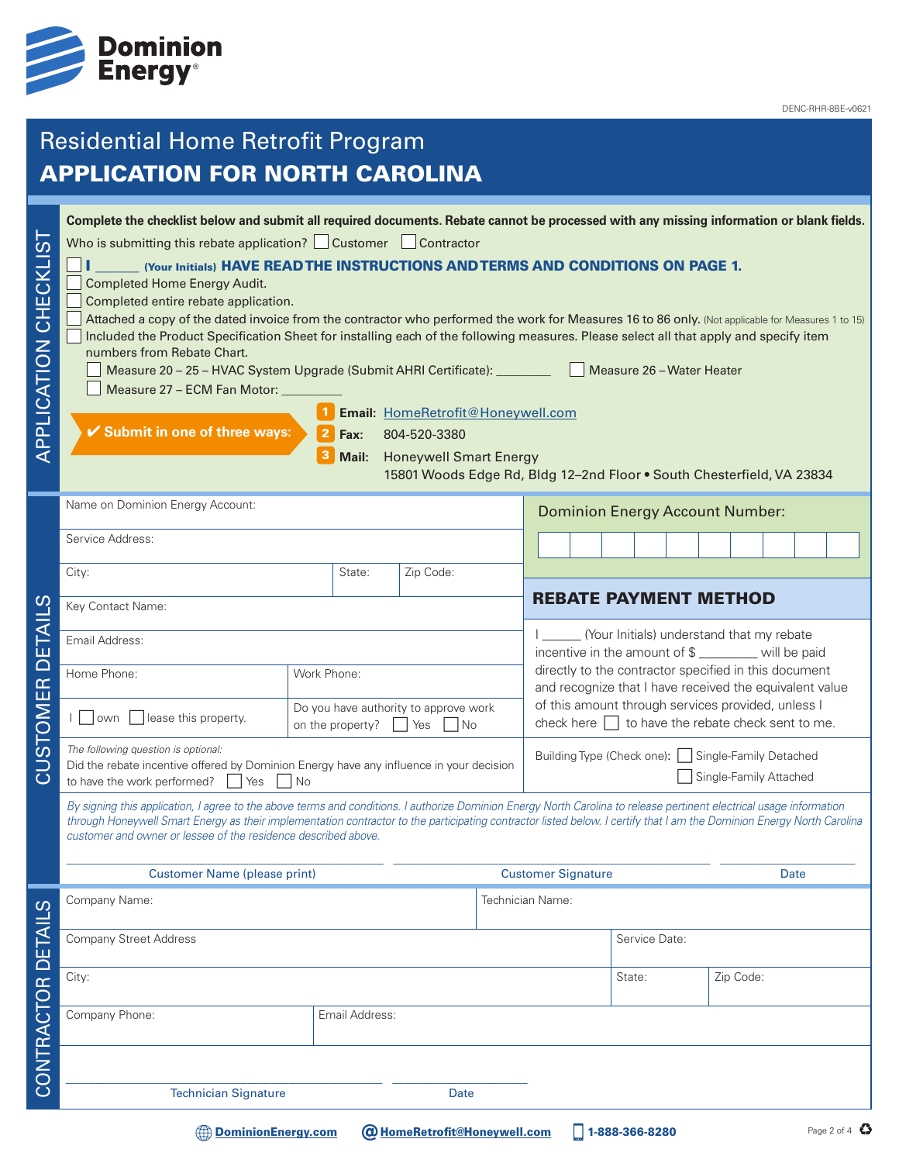

# Residential Home Retrofit Program APPLICATION FOR NORTH CAROLINA

| ທ່<br>APPLICATION CHECKLI | Complete the checklist below and submit all required documents. Rebate cannot be processed with any missing information or blank fields.<br>Who is submitting this rebate application? Customer Contractor<br>(Your Initials) HAVE READ THE INSTRUCTIONS AND TERMS AND CONDITIONS ON PAGE 1.<br><b>Completed Home Energy Audit.</b><br>Completed entire rebate application.<br>Attached a copy of the dated invoice from the contractor who performed the work for Measures 16 to 86 only. (Not applicable for Measures 1 to 15)<br>Included the Product Specification Sheet for installing each of the following measures. Please select all that apply and specify item<br>numbers from Rebate Chart.<br>Measure 20 - 25 - HVAC System Upgrade (Submit AHRI Certificate): _________<br>Measure 27 - ECM Fan Motor: _<br>✔ Submit in one of three ways: | Fax:<br>Mail:                                        | Email: HomeRetrofit@Honeywell.com<br>804-520-3380<br><b>Honeywell Smart Energy</b><br>15801 Woods Edge Rd, Bldg 12-2nd Floor . South Chesterfield, VA 23834 |                                                                                                              |                                                                                                 |                              |                                                                                                                  | Measure 26 - Water Heater |  |           |             |             |
|---------------------------|----------------------------------------------------------------------------------------------------------------------------------------------------------------------------------------------------------------------------------------------------------------------------------------------------------------------------------------------------------------------------------------------------------------------------------------------------------------------------------------------------------------------------------------------------------------------------------------------------------------------------------------------------------------------------------------------------------------------------------------------------------------------------------------------------------------------------------------------------------|------------------------------------------------------|-------------------------------------------------------------------------------------------------------------------------------------------------------------|--------------------------------------------------------------------------------------------------------------|-------------------------------------------------------------------------------------------------|------------------------------|------------------------------------------------------------------------------------------------------------------|---------------------------|--|-----------|-------------|-------------|
|                           | Name on Dominion Energy Account:                                                                                                                                                                                                                                                                                                                                                                                                                                                                                                                                                                                                                                                                                                                                                                                                                         |                                                      |                                                                                                                                                             |                                                                                                              | <b>Dominion Energy Account Number:</b>                                                          |                              |                                                                                                                  |                           |  |           |             |             |
|                           | Service Address:                                                                                                                                                                                                                                                                                                                                                                                                                                                                                                                                                                                                                                                                                                                                                                                                                                         |                                                      |                                                                                                                                                             |                                                                                                              |                                                                                                 |                              |                                                                                                                  |                           |  |           |             |             |
|                           | City:                                                                                                                                                                                                                                                                                                                                                                                                                                                                                                                                                                                                                                                                                                                                                                                                                                                    | State:                                               | Zip Code:                                                                                                                                                   |                                                                                                              |                                                                                                 |                              |                                                                                                                  |                           |  |           |             |             |
|                           | Key Contact Name:                                                                                                                                                                                                                                                                                                                                                                                                                                                                                                                                                                                                                                                                                                                                                                                                                                        |                                                      |                                                                                                                                                             |                                                                                                              |                                                                                                 | <b>REBATE PAYMENT METHOD</b> |                                                                                                                  |                           |  |           |             |             |
| ய                         | Email Address:                                                                                                                                                                                                                                                                                                                                                                                                                                                                                                                                                                                                                                                                                                                                                                                                                                           |                                                      |                                                                                                                                                             |                                                                                                              | (Your Initials) understand that my rebate<br>incentive in the amount of \$ _______ will be paid |                              |                                                                                                                  |                           |  |           |             |             |
| $\overline{\cap}$         | Home Phone:                                                                                                                                                                                                                                                                                                                                                                                                                                                                                                                                                                                                                                                                                                                                                                                                                                              | Work Phone:                                          |                                                                                                                                                             |                                                                                                              |                                                                                                 |                              | directly to the contractor specified in this document<br>and recognize that I have received the equivalent value |                           |  |           |             |             |
| STOMER                    | lease this property.<br>own                                                                                                                                                                                                                                                                                                                                                                                                                                                                                                                                                                                                                                                                                                                                                                                                                              | Do you have authority to approve work<br>Yes<br>1 No |                                                                                                                                                             | of this amount through services provided, unless I<br>check here $\Box$ to have the rebate check sent to me. |                                                                                                 |                              |                                                                                                                  |                           |  |           |             |             |
| <u>ನ</u>                  | The following question is optional:<br>Did the rebate incentive offered by Dominion Energy have any influence in your decision<br>to have the work performed?<br>Yes<br>l No                                                                                                                                                                                                                                                                                                                                                                                                                                                                                                                                                                                                                                                                             |                                                      |                                                                                                                                                             |                                                                                                              | Building Type (Check one):  <br>Single-Family Detached<br>Single-Family Attached                |                              |                                                                                                                  |                           |  |           |             |             |
|                           | By signing this application, I agree to the above terms and conditions. I authorize Dominion Energy North Carolina to release pertinent electrical usage information<br>through Honeywell Smart Energy as their implementation contractor to the participating contractor listed below. I certify that I am the Dominion Energy North Carolina<br>customer and owner or lessee of the residence described above.                                                                                                                                                                                                                                                                                                                                                                                                                                         |                                                      |                                                                                                                                                             |                                                                                                              |                                                                                                 |                              |                                                                                                                  |                           |  |           |             |             |
|                           | <b>Customer Name (please print)</b>                                                                                                                                                                                                                                                                                                                                                                                                                                                                                                                                                                                                                                                                                                                                                                                                                      |                                                      |                                                                                                                                                             |                                                                                                              | <b>Customer Signature</b>                                                                       |                              |                                                                                                                  |                           |  |           | <b>Date</b> |             |
|                           | Company Name:                                                                                                                                                                                                                                                                                                                                                                                                                                                                                                                                                                                                                                                                                                                                                                                                                                            |                                                      |                                                                                                                                                             | Technician Name:                                                                                             |                                                                                                 |                              |                                                                                                                  |                           |  |           |             |             |
|                           | <b>Company Street Address</b>                                                                                                                                                                                                                                                                                                                                                                                                                                                                                                                                                                                                                                                                                                                                                                                                                            |                                                      |                                                                                                                                                             |                                                                                                              |                                                                                                 |                              |                                                                                                                  | Service Date:             |  |           |             |             |
|                           | City:                                                                                                                                                                                                                                                                                                                                                                                                                                                                                                                                                                                                                                                                                                                                                                                                                                                    |                                                      |                                                                                                                                                             |                                                                                                              |                                                                                                 |                              | State:                                                                                                           |                           |  | Zip Code: |             |             |
| CONTRACTOR DETAILS        | Company Phone:                                                                                                                                                                                                                                                                                                                                                                                                                                                                                                                                                                                                                                                                                                                                                                                                                                           | Email Address:                                       |                                                                                                                                                             |                                                                                                              |                                                                                                 |                              |                                                                                                                  |                           |  |           |             |             |
|                           |                                                                                                                                                                                                                                                                                                                                                                                                                                                                                                                                                                                                                                                                                                                                                                                                                                                          |                                                      |                                                                                                                                                             |                                                                                                              |                                                                                                 |                              |                                                                                                                  |                           |  |           |             |             |
|                           | <b>Technician Signature</b>                                                                                                                                                                                                                                                                                                                                                                                                                                                                                                                                                                                                                                                                                                                                                                                                                              |                                                      | Date                                                                                                                                                        |                                                                                                              |                                                                                                 |                              |                                                                                                                  |                           |  |           |             |             |
|                           | <b>DominionEnergy.com</b>                                                                                                                                                                                                                                                                                                                                                                                                                                                                                                                                                                                                                                                                                                                                                                                                                                |                                                      | <b>@ HomeRetrofit@Honeywell.com</b>                                                                                                                         |                                                                                                              |                                                                                                 |                              |                                                                                                                  | 1-888-366-8280            |  |           |             | Page 2 of 4 |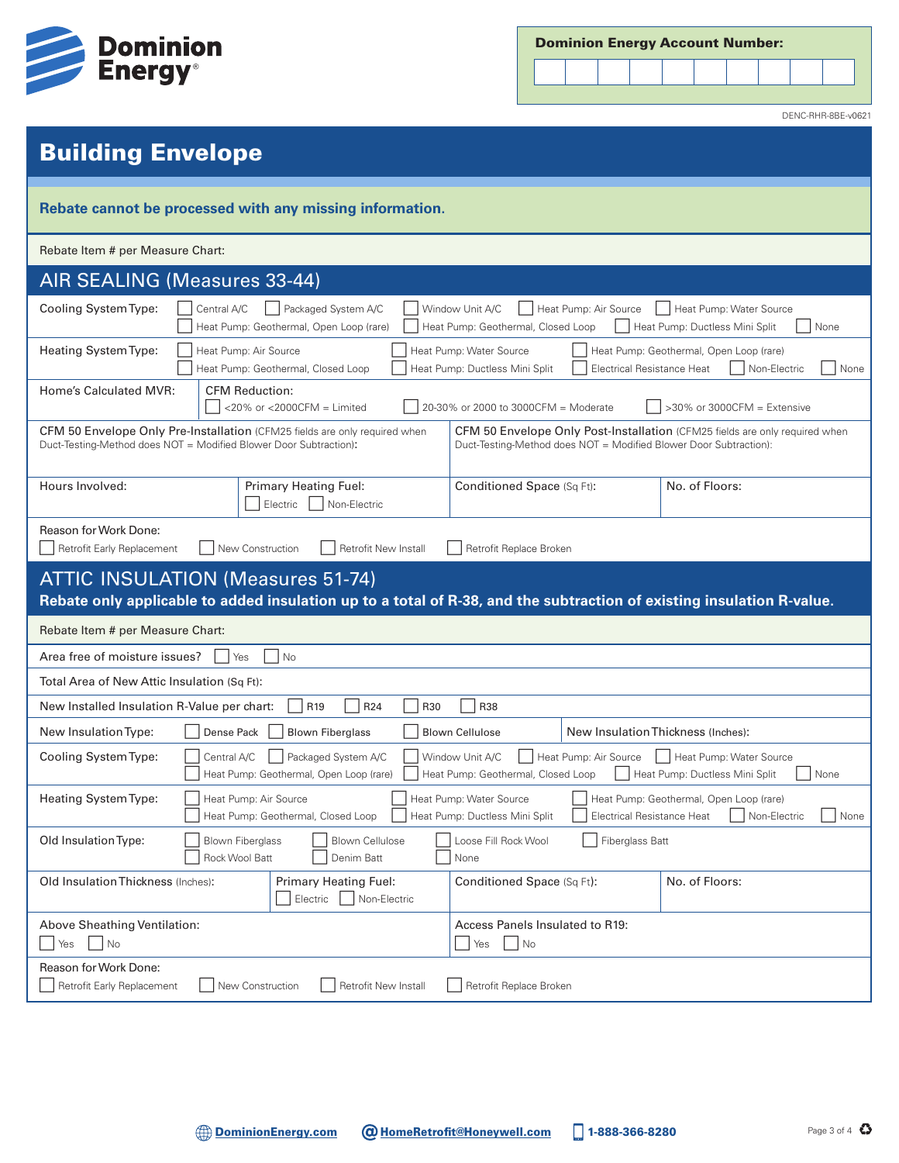

| <b>Dominion Energy Account Number:</b> |  |  |  |
|----------------------------------------|--|--|--|
|----------------------------------------|--|--|--|



DENC-RHR-8BE-v0621

# Building Envelope

| Rebate cannot be processed with any missing information.                                                                                                                                                                                                                                                          |  |  |  |  |  |  |
|-------------------------------------------------------------------------------------------------------------------------------------------------------------------------------------------------------------------------------------------------------------------------------------------------------------------|--|--|--|--|--|--|
| Rebate Item # per Measure Chart:                                                                                                                                                                                                                                                                                  |  |  |  |  |  |  |
| AIR SEALING (Measures 33-44)                                                                                                                                                                                                                                                                                      |  |  |  |  |  |  |
| Cooling System Type:<br>Central A/C<br>Packaged System A/C<br>Heat Pump: Air Source<br>Heat Pump: Water Source<br>Window Unit A/C<br>None<br>Heat Pump: Geothermal, Open Loop (rare)<br>Heat Pump: Geothermal, Closed Loop<br>Heat Pump: Ductless Mini Split                                                      |  |  |  |  |  |  |
| Heating System Type:<br>Heat Pump: Air Source<br>Heat Pump: Water Source<br>Heat Pump: Geothermal, Open Loop (rare)<br>Heat Pump: Ductless Mini Split<br><b>Electrical Resistance Heat</b><br>Heat Pump: Geothermal, Closed Loop<br>Non-Electric<br>None                                                          |  |  |  |  |  |  |
| <b>Home's Calculated MVR:</b><br><b>CFM Reduction:</b><br>20-30% or 2000 to 3000CFM = Moderate<br>$>30\%$ or 3000CFM = Extensive<br><20% or <2000CFM = $Limited$                                                                                                                                                  |  |  |  |  |  |  |
| <b>CFM 50 Envelope Only Pre-Installation</b> (CFM25 fields are only required when<br><b>CFM 50 Envelope Only Post-Installation</b> (CFM25 fields are only required when<br>Duct-Testing-Method does NOT = Modified Blower Door Subtraction):<br>Duct-Testing-Method does NOT = Modified Blower Door Subtraction): |  |  |  |  |  |  |
| No. of Floors:<br>Hours Involved:<br>Primary Heating Fuel:<br>Conditioned Space (Sq Ft):<br>Non-Electric<br>Electric                                                                                                                                                                                              |  |  |  |  |  |  |
| Reason for Work Done:<br>Retrofit New Install<br>Retrofit Early Replacement<br>New Construction<br>Retrofit Replace Broken                                                                                                                                                                                        |  |  |  |  |  |  |
| <b>ATTIC INSULATION (Measures 51-74)</b>                                                                                                                                                                                                                                                                          |  |  |  |  |  |  |
| Rebate only applicable to added insulation up to a total of R-38, and the subtraction of existing insulation R-value.                                                                                                                                                                                             |  |  |  |  |  |  |
| Rebate Item # per Measure Chart:                                                                                                                                                                                                                                                                                  |  |  |  |  |  |  |
| Area free of moisture issues?<br>No<br>Yes                                                                                                                                                                                                                                                                        |  |  |  |  |  |  |
| Total Area of New Attic Insulation (Sq Ft):                                                                                                                                                                                                                                                                       |  |  |  |  |  |  |
| New Installed Insulation R-Value per chart:<br>R <sub>19</sub><br>R24<br><b>R38</b><br>R30                                                                                                                                                                                                                        |  |  |  |  |  |  |
| New Insulation Thickness (Inches):<br>New Insulation Type:<br>Dense Pack<br><b>Blown Fiberglass</b><br><b>Blown Cellulose</b>                                                                                                                                                                                     |  |  |  |  |  |  |
| Cooling System Type:<br>Central A/C<br>Heat Pump: Water Source<br>Packaged System A/C<br>Window Unit A/C<br>Heat Pump: Air Source<br>Heat Pump: Geothermal, Open Loop (rare)<br>None<br>Heat Pump: Geothermal, Closed Loop<br>Heat Pump: Ductless Mini Split                                                      |  |  |  |  |  |  |
| Heating System Type:<br>Heat Pump: Air Source<br>Heat Pump: Water Source<br>Heat Pump: Geothermal, Open Loop (rare)<br>Heat Pump: Geothermal, Closed Loop<br>Heat Pump: Ductless Mini Split<br><b>Electrical Resistance Heat</b><br>Non-Electric<br>None                                                          |  |  |  |  |  |  |
| Old Insulation Type:<br><b>Blown Fiberglass</b><br><b>Blown Cellulose</b><br>Loose Fill Rock Wool<br>Fiberglass Batt<br>Rock Wool Batt<br>Denim Batt<br>None                                                                                                                                                      |  |  |  |  |  |  |
| Old Insulation Thickness (Inches):<br>No. of Floors:<br>Primary Heating Fuel:<br>Conditioned Space (Sq Ft):<br>Electric<br>Non-Electric                                                                                                                                                                           |  |  |  |  |  |  |
| Above Sheathing Ventilation:<br>Access Panels Insulated to R19:<br>No<br>No<br>Yes<br>Yes                                                                                                                                                                                                                         |  |  |  |  |  |  |
| Reason for Work Done:<br>New Construction<br>Retrofit New Install<br>Retrofit Replace Broken<br>Retrofit Early Replacement                                                                                                                                                                                        |  |  |  |  |  |  |